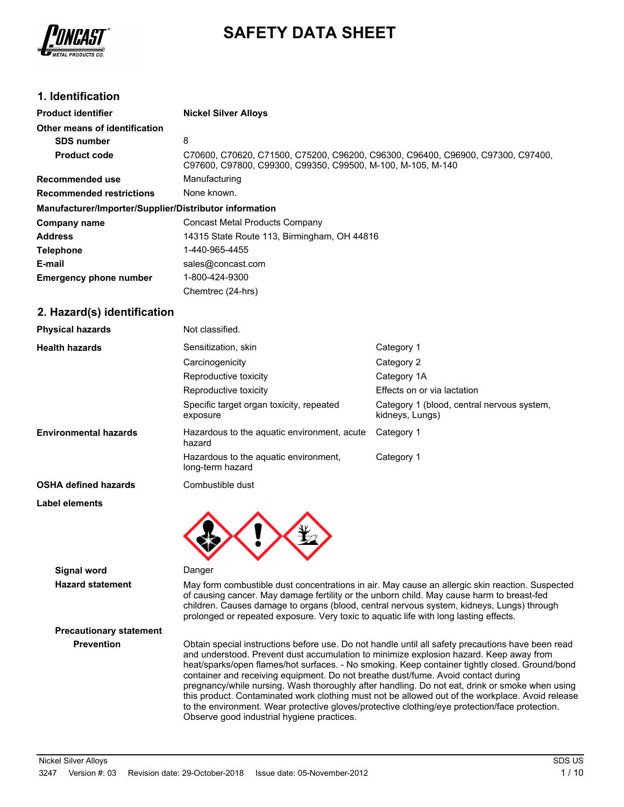

## **SAFETY DATA SHEET**

## **1. Identification**

| <b>Product identifier</b>                              | <b>Nickel Silver Alloys</b>                                                                                                                    |
|--------------------------------------------------------|------------------------------------------------------------------------------------------------------------------------------------------------|
| Other means of identification                          |                                                                                                                                                |
| <b>SDS number</b>                                      | 8                                                                                                                                              |
| <b>Product code</b>                                    | C70600, C70620, C71500, C75200, C96200, C96300, C96400, C96900, C97300, C97400,<br>C97600, C97800, C99300, C99350, C99500, M-100, M-105, M-140 |
| <b>Recommended use</b>                                 | Manufacturing                                                                                                                                  |
| <b>Recommended restrictions</b>                        | None known.                                                                                                                                    |
| Manufacturer/Importer/Supplier/Distributor information |                                                                                                                                                |
| Company name                                           | Concast Metal Products Company                                                                                                                 |
| <b>Address</b>                                         | 14315 State Route 113, Birmingham, OH 44816                                                                                                    |
| <b>Telephone</b>                                       | 1-440-965-4455                                                                                                                                 |
| E-mail                                                 | sales@concast.com                                                                                                                              |
| <b>Emergency phone number</b>                          | 1-800-424-9300                                                                                                                                 |
|                                                        | Chemtrec (24-hrs)                                                                                                                              |

## **2. Hazard(s) identification**

| <b>Physical hazards</b>      | Not classified.                                           |                                                               |
|------------------------------|-----------------------------------------------------------|---------------------------------------------------------------|
| <b>Health hazards</b>        | Sensitization, skin                                       | Category 1                                                    |
|                              | Carcinogenicity                                           | Category 2                                                    |
|                              | Reproductive toxicity                                     | Category 1A                                                   |
|                              | Reproductive toxicity                                     | Effects on or via lactation                                   |
|                              | Specific target organ toxicity, repeated<br>exposure      | Category 1 (blood, central nervous system,<br>kidneys, Lungs) |
| <b>Environmental hazards</b> | Hazardous to the aquatic environment, acute<br>hazard     | Category 1                                                    |
|                              | Hazardous to the aquatic environment,<br>long-term hazard | Category 1                                                    |
| <b>OSHA defined hazards</b>  | Combustible dust                                          |                                                               |
| Label elements               |                                                           |                                                               |
|                              |                                                           |                                                               |



**Signal word** Danger

**Hazard statement** May form combustible dust concentrations in air. May cause an allergic skin reaction. Suspected of causing cancer. May damage fertility or the unborn child. May cause harm to breast-fed children. Causes damage to organs (blood, central nervous system, kidneys, Lungs) through prolonged or repeated exposure. Very toxic to aquatic life with long lasting effects.

# **Precautionary statement**

**Prevention** Obtain special instructions before use. Do not handle until all safety precautions have been read and understood. Prevent dust accumulation to minimize explosion hazard. Keep away from heat/sparks/open flames/hot surfaces. - No smoking. Keep container tightly closed. Ground/bond container and receiving equipment. Do not breathe dust/fume. Avoid contact during pregnancy/while nursing. Wash thoroughly after handling. Do not eat, drink or smoke when using this product. Contaminated work clothing must not be allowed out of the workplace. Avoid release to the environment. Wear protective gloves/protective clothing/eye protection/face protection. Observe good industrial hygiene practices.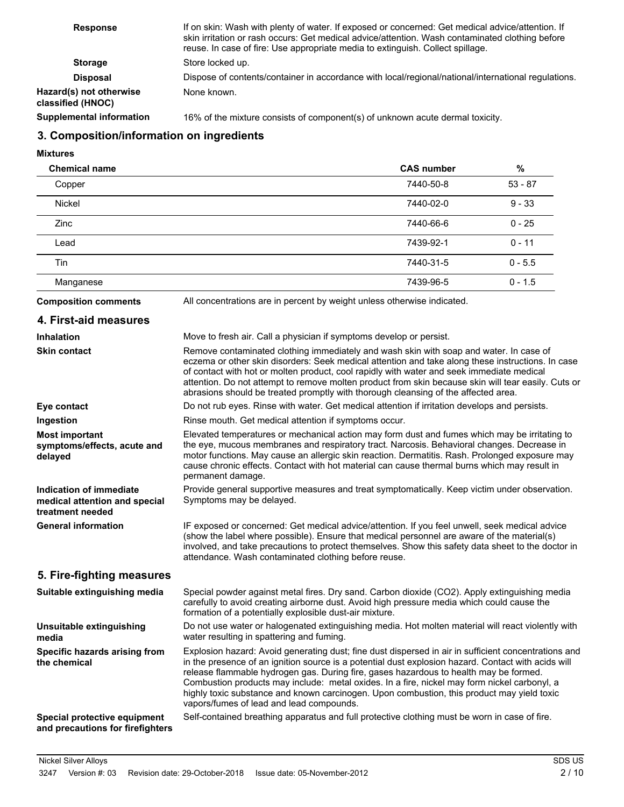| <b>Response</b>                              | If on skin: Wash with plenty of water. If exposed or concerned: Get medical advice/attention. If<br>skin irritation or rash occurs: Get medical advice/attention. Wash contaminated clothing before<br>reuse. In case of fire: Use appropriate media to extinguish. Collect spillage. |
|----------------------------------------------|---------------------------------------------------------------------------------------------------------------------------------------------------------------------------------------------------------------------------------------------------------------------------------------|
| <b>Storage</b>                               | Store locked up.                                                                                                                                                                                                                                                                      |
| Disposal                                     | Dispose of contents/container in accordance with local/regional/national/international regulations.                                                                                                                                                                                   |
| Hazard(s) not otherwise<br>classified (HNOC) | None known.                                                                                                                                                                                                                                                                           |
| <b>Supplemental information</b>              | 16% of the mixture consists of component(s) of unknown acute dermal toxicity.                                                                                                                                                                                                         |

## **3. Composition/information on ingredients**

**Mixtures**

| <b>Chemical name</b> | <b>CAS number</b> | $\%$      |
|----------------------|-------------------|-----------|
| Copper               | 7440-50-8         | $53 - 87$ |
| <b>Nickel</b>        | 7440-02-0         | $9 - 33$  |
| Zinc                 | 7440-66-6         | $0 - 25$  |
| Lead                 | 7439-92-1         | $0 - 11$  |
| Tin                  | 7440-31-5         | $0 - 5.5$ |
| Manganese            | 7439-96-5         | $0 - 1.5$ |

**Composition comments** All concentrations are in percent by weight unless otherwise indicated.

| 4. First-aid measures                                                        |                                                                                                                                                                                                                                                                                                                                                                                                                                                                                                                                                |
|------------------------------------------------------------------------------|------------------------------------------------------------------------------------------------------------------------------------------------------------------------------------------------------------------------------------------------------------------------------------------------------------------------------------------------------------------------------------------------------------------------------------------------------------------------------------------------------------------------------------------------|
| <b>Inhalation</b>                                                            | Move to fresh air. Call a physician if symptoms develop or persist.                                                                                                                                                                                                                                                                                                                                                                                                                                                                            |
| <b>Skin contact</b>                                                          | Remove contaminated clothing immediately and wash skin with soap and water. In case of<br>eczema or other skin disorders: Seek medical attention and take along these instructions. In case<br>of contact with hot or molten product, cool rapidly with water and seek immediate medical<br>attention. Do not attempt to remove molten product from skin because skin will tear easily. Cuts or<br>abrasions should be treated promptly with thorough cleansing of the affected area.                                                          |
| Eye contact                                                                  | Do not rub eyes. Rinse with water. Get medical attention if irritation develops and persists.                                                                                                                                                                                                                                                                                                                                                                                                                                                  |
| Ingestion                                                                    | Rinse mouth. Get medical attention if symptoms occur.                                                                                                                                                                                                                                                                                                                                                                                                                                                                                          |
| <b>Most important</b><br>symptoms/effects, acute and<br>delayed              | Elevated temperatures or mechanical action may form dust and fumes which may be irritating to<br>the eye, mucous membranes and respiratory tract. Narcosis. Behavioral changes. Decrease in<br>motor functions. May cause an allergic skin reaction. Dermatitis. Rash. Prolonged exposure may<br>cause chronic effects. Contact with hot material can cause thermal burns which may result in<br>permanent damage.                                                                                                                             |
| Indication of immediate<br>medical attention and special<br>treatment needed | Provide general supportive measures and treat symptomatically. Keep victim under observation.<br>Symptoms may be delayed.                                                                                                                                                                                                                                                                                                                                                                                                                      |
| <b>General information</b>                                                   | IF exposed or concerned: Get medical advice/attention. If you feel unwell, seek medical advice<br>(show the label where possible). Ensure that medical personnel are aware of the material(s)<br>involved, and take precautions to protect themselves. Show this safety data sheet to the doctor in<br>attendance. Wash contaminated clothing before reuse.                                                                                                                                                                                    |
| 5. Fire-fighting measures                                                    |                                                                                                                                                                                                                                                                                                                                                                                                                                                                                                                                                |
| Suitable extinguishing media                                                 | Special powder against metal fires. Dry sand. Carbon dioxide (CO2). Apply extinguishing media<br>carefully to avoid creating airborne dust. Avoid high pressure media which could cause the<br>formation of a potentially explosible dust-air mixture.                                                                                                                                                                                                                                                                                         |
| Unsuitable extinguishing<br>media                                            | Do not use water or halogenated extinguishing media. Hot molten material will react violently with<br>water resulting in spattering and fuming.                                                                                                                                                                                                                                                                                                                                                                                                |
| Specific hazards arising from<br>the chemical                                | Explosion hazard: Avoid generating dust; fine dust dispersed in air in sufficient concentrations and<br>in the presence of an ignition source is a potential dust explosion hazard. Contact with acids will<br>release flammable hydrogen gas. During fire, gases hazardous to health may be formed.<br>Combustion products may include: metal oxides. In a fire, nickel may form nickel carbonyl, a<br>highly toxic substance and known carcinogen. Upon combustion, this product may yield toxic<br>vapors/fumes of lead and lead compounds. |
| Special protective equipment<br>and precautions for firefighters             | Self-contained breathing apparatus and full protective clothing must be worn in case of fire.                                                                                                                                                                                                                                                                                                                                                                                                                                                  |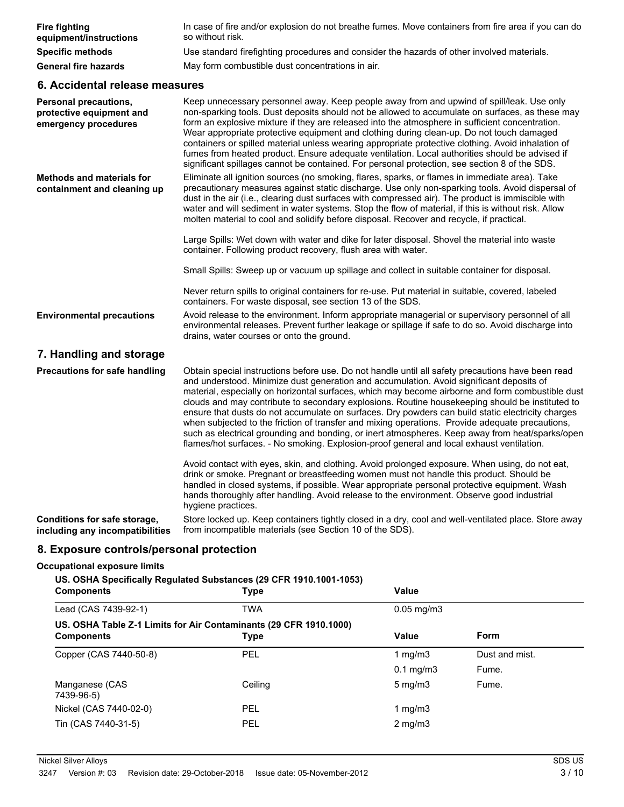| <b>Fire fighting</b><br>equipment/instructions                                   | In case of fire and/or explosion do not breathe fumes. Move containers from fire area if you can do<br>so without risk.                                                                                                                                                                                                                                                                                                                                                                                                                                                                                                                                                                                                                                                                                      |
|----------------------------------------------------------------------------------|--------------------------------------------------------------------------------------------------------------------------------------------------------------------------------------------------------------------------------------------------------------------------------------------------------------------------------------------------------------------------------------------------------------------------------------------------------------------------------------------------------------------------------------------------------------------------------------------------------------------------------------------------------------------------------------------------------------------------------------------------------------------------------------------------------------|
| <b>Specific methods</b>                                                          | Use standard firefighting procedures and consider the hazards of other involved materials.                                                                                                                                                                                                                                                                                                                                                                                                                                                                                                                                                                                                                                                                                                                   |
| <b>General fire hazards</b>                                                      | May form combustible dust concentrations in air.                                                                                                                                                                                                                                                                                                                                                                                                                                                                                                                                                                                                                                                                                                                                                             |
| 6. Accidental release measures                                                   |                                                                                                                                                                                                                                                                                                                                                                                                                                                                                                                                                                                                                                                                                                                                                                                                              |
| <b>Personal precautions,</b><br>protective equipment and<br>emergency procedures | Keep unnecessary personnel away. Keep people away from and upwind of spill/leak. Use only<br>non-sparking tools. Dust deposits should not be allowed to accumulate on surfaces, as these may<br>form an explosive mixture if they are released into the atmosphere in sufficient concentration.<br>Wear appropriate protective equipment and clothing during clean-up. Do not touch damaged<br>containers or spilled material unless wearing appropriate protective clothing. Avoid inhalation of<br>fumes from heated product. Ensure adequate ventilation. Local authorities should be advised if<br>significant spillages cannot be contained. For personal protection, see section 8 of the SDS.                                                                                                         |
| <b>Methods and materials for</b><br>containment and cleaning up                  | Eliminate all ignition sources (no smoking, flares, sparks, or flames in immediate area). Take<br>precautionary measures against static discharge. Use only non-sparking tools. Avoid dispersal of<br>dust in the air (i.e., clearing dust surfaces with compressed air). The product is immiscible with<br>water and will sediment in water systems. Stop the flow of material, if this is without risk. Allow<br>molten material to cool and solidify before disposal. Recover and recycle, if practical.                                                                                                                                                                                                                                                                                                  |
|                                                                                  | Large Spills: Wet down with water and dike for later disposal. Shovel the material into waste<br>container. Following product recovery, flush area with water.                                                                                                                                                                                                                                                                                                                                                                                                                                                                                                                                                                                                                                               |
|                                                                                  | Small Spills: Sweep up or vacuum up spillage and collect in suitable container for disposal.                                                                                                                                                                                                                                                                                                                                                                                                                                                                                                                                                                                                                                                                                                                 |
|                                                                                  | Never return spills to original containers for re-use. Put material in suitable, covered, labeled<br>containers. For waste disposal, see section 13 of the SDS.                                                                                                                                                                                                                                                                                                                                                                                                                                                                                                                                                                                                                                              |
| <b>Environmental precautions</b>                                                 | Avoid release to the environment. Inform appropriate managerial or supervisory personnel of all<br>environmental releases. Prevent further leakage or spillage if safe to do so. Avoid discharge into<br>drains, water courses or onto the ground.                                                                                                                                                                                                                                                                                                                                                                                                                                                                                                                                                           |
| 7. Handling and storage                                                          |                                                                                                                                                                                                                                                                                                                                                                                                                                                                                                                                                                                                                                                                                                                                                                                                              |
| <b>Precautions for safe handling</b>                                             | Obtain special instructions before use. Do not handle until all safety precautions have been read<br>and understood. Minimize dust generation and accumulation. Avoid significant deposits of<br>material, especially on horizontal surfaces, which may become airborne and form combustible dust<br>clouds and may contribute to secondary explosions. Routine housekeeping should be instituted to<br>ensure that dusts do not accumulate on surfaces. Dry powders can build static electricity charges<br>when subjected to the friction of transfer and mixing operations. Provide adequate precautions,<br>such as electrical grounding and bonding, or inert atmospheres. Keep away from heat/sparks/open<br>flames/hot surfaces. - No smoking. Explosion-proof general and local exhaust ventilation. |
|                                                                                  | Avoid contact with eyes, skin, and clothing. Avoid prolonged exposure. When using, do not eat,<br>drink or smoke. Pregnant or breastfeeding women must not handle this product. Should be<br>handled in closed systems, if possible. Wear appropriate personal protective equipment. Wash<br>hands thoroughly after handling. Avoid release to the environment. Observe good industrial<br>hygiene practices.                                                                                                                                                                                                                                                                                                                                                                                                |
| Conditions for safe storage,<br>including any incompatibilities                  | Store locked up. Keep containers tightly closed in a dry, cool and well-ventilated place. Store away<br>from incompatible materials (see Section 10 of the SDS).                                                                                                                                                                                                                                                                                                                                                                                                                                                                                                                                                                                                                                             |

## **8. Exposure controls/personal protection**

## **Occupational exposure limits**

#### **US. OSHA Specifically Regulated Substances (29 CFR 1910.1001-1053)**

| <b>Components</b>                                                                      | <b>Type</b> | Value            |                |
|----------------------------------------------------------------------------------------|-------------|------------------|----------------|
| Lead (CAS 7439-92-1)                                                                   | <b>TWA</b>  | $0.05$ mg/m $3$  |                |
| US. OSHA Table Z-1 Limits for Air Contaminants (29 CFR 1910.1000)<br><b>Components</b> | <b>Type</b> | Value            | Form           |
| Copper (CAS 7440-50-8)                                                                 | PEL         | 1 mg/m $3$       | Dust and mist. |
|                                                                                        |             | $0.1$ mg/m $3$   | Fume.          |
| Manganese (CAS<br>7439-96-5)                                                           | Ceiling     | $5 \text{ mg/m}$ | Fume.          |
| Nickel (CAS 7440-02-0)                                                                 | <b>PEL</b>  | 1 mg/m $3$       |                |
| Tin (CAS 7440-31-5)                                                                    | PEL         | $2$ mg/m $3$     |                |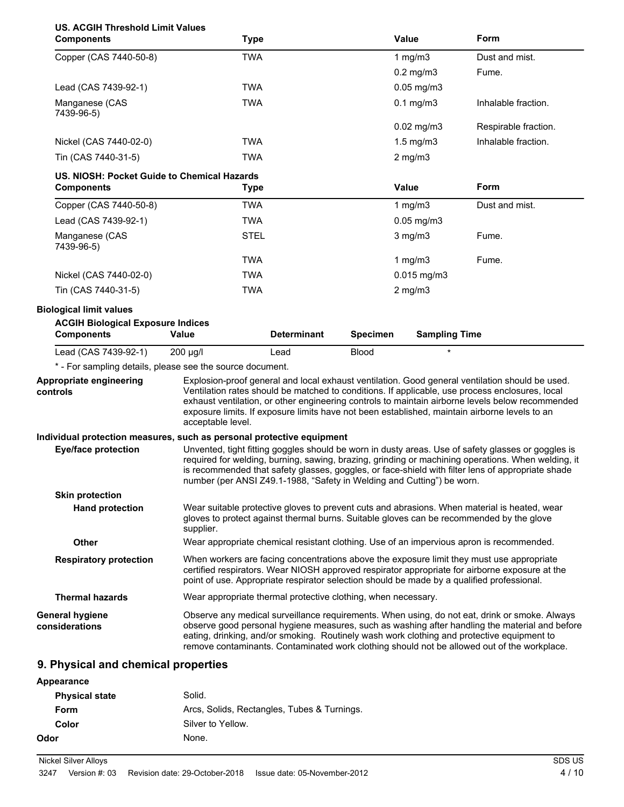| <b>US. ACGIH Threshold Limit Values</b><br><b>Components</b>                                    | <b>Type</b>                                                                                |                    |                 | <b>Value</b>         | Form                                                                                                                                                                                                                                                                                                                                                                                                    |
|-------------------------------------------------------------------------------------------------|--------------------------------------------------------------------------------------------|--------------------|-----------------|----------------------|---------------------------------------------------------------------------------------------------------------------------------------------------------------------------------------------------------------------------------------------------------------------------------------------------------------------------------------------------------------------------------------------------------|
| Copper (CAS 7440-50-8)                                                                          | <b>TWA</b>                                                                                 |                    |                 | 1 $mg/m3$            | Dust and mist.                                                                                                                                                                                                                                                                                                                                                                                          |
|                                                                                                 |                                                                                            |                    |                 | $0.2$ mg/m $3$       | Fume.                                                                                                                                                                                                                                                                                                                                                                                                   |
| Lead (CAS 7439-92-1)                                                                            | <b>TWA</b>                                                                                 |                    |                 | $0.05$ mg/m $3$      |                                                                                                                                                                                                                                                                                                                                                                                                         |
| Manganese (CAS<br>7439-96-5)                                                                    | <b>TWA</b>                                                                                 |                    |                 | $0.1$ mg/m $3$       | Inhalable fraction.                                                                                                                                                                                                                                                                                                                                                                                     |
|                                                                                                 |                                                                                            |                    |                 | $0.02$ mg/m $3$      | Respirable fraction.                                                                                                                                                                                                                                                                                                                                                                                    |
| Nickel (CAS 7440-02-0)                                                                          | <b>TWA</b>                                                                                 |                    |                 | $1.5$ mg/m $3$       | Inhalable fraction.                                                                                                                                                                                                                                                                                                                                                                                     |
| Tin (CAS 7440-31-5)                                                                             | <b>TWA</b>                                                                                 |                    |                 | $2$ mg/m $3$         |                                                                                                                                                                                                                                                                                                                                                                                                         |
| US. NIOSH: Pocket Guide to Chemical Hazards<br><b>Components</b>                                | <b>Type</b>                                                                                |                    |                 | <b>Value</b>         | Form                                                                                                                                                                                                                                                                                                                                                                                                    |
| Copper (CAS 7440-50-8)                                                                          | <b>TWA</b>                                                                                 |                    |                 | 1 $mg/m3$            | Dust and mist.                                                                                                                                                                                                                                                                                                                                                                                          |
| Lead (CAS 7439-92-1)                                                                            | <b>TWA</b>                                                                                 |                    |                 | $0.05$ mg/m $3$      |                                                                                                                                                                                                                                                                                                                                                                                                         |
| Manganese (CAS<br>7439-96-5)                                                                    | <b>STEL</b>                                                                                |                    |                 | $3$ mg/m $3$         | Fume.                                                                                                                                                                                                                                                                                                                                                                                                   |
|                                                                                                 | <b>TWA</b>                                                                                 |                    |                 | 1 $mg/m3$            | Fume.                                                                                                                                                                                                                                                                                                                                                                                                   |
| Nickel (CAS 7440-02-0)                                                                          | <b>TWA</b>                                                                                 |                    |                 | $0.015$ mg/m3        |                                                                                                                                                                                                                                                                                                                                                                                                         |
| Tin (CAS 7440-31-5)                                                                             | <b>TWA</b>                                                                                 |                    |                 | $2$ mg/m $3$         |                                                                                                                                                                                                                                                                                                                                                                                                         |
| <b>Biological limit values</b><br><b>ACGIH Biological Exposure Indices</b><br><b>Components</b> | Value                                                                                      | <b>Determinant</b> | <b>Specimen</b> | <b>Sampling Time</b> |                                                                                                                                                                                                                                                                                                                                                                                                         |
| Lead (CAS 7439-92-1)                                                                            | $200 \mu g/l$                                                                              | Lead               | <b>Blood</b>    | $\star$              |                                                                                                                                                                                                                                                                                                                                                                                                         |
| * - For sampling details, please see the source document.                                       |                                                                                            |                    |                 |                      |                                                                                                                                                                                                                                                                                                                                                                                                         |
| Appropriate engineering<br>controls                                                             | acceptable level.                                                                          |                    |                 |                      | Explosion-proof general and local exhaust ventilation. Good general ventilation should be used.<br>Ventilation rates should be matched to conditions. If applicable, use process enclosures, local<br>exhaust ventilation, or other engineering controls to maintain airborne levels below recommended<br>exposure limits. If exposure limits have not been established, maintain airborne levels to an |
| Individual protection measures, such as personal protective equipment                           |                                                                                            |                    |                 |                      |                                                                                                                                                                                                                                                                                                                                                                                                         |
| <b>Eye/face protection</b>                                                                      | number (per ANSI Z49.1-1988, "Safety in Welding and Cutting") be worn.                     |                    |                 |                      | Unvented, tight fitting goggles should be worn in dusty areas. Use of safety glasses or goggles is<br>required for welding, burning, sawing, brazing, grinding or machining operations. When welding, it<br>is recommended that safety glasses, goggles, or face-shield with filter lens of appropriate shade                                                                                           |
| <b>Skin protection</b>                                                                          |                                                                                            |                    |                 |                      |                                                                                                                                                                                                                                                                                                                                                                                                         |
| <b>Hand protection</b>                                                                          | supplier.                                                                                  |                    |                 |                      | Wear suitable protective gloves to prevent cuts and abrasions. When material is heated, wear<br>gloves to protect against thermal burns. Suitable gloves can be recommended by the glove                                                                                                                                                                                                                |
| Other                                                                                           |                                                                                            |                    |                 |                      | Wear appropriate chemical resistant clothing. Use of an impervious apron is recommended.                                                                                                                                                                                                                                                                                                                |
| <b>Respiratory protection</b>                                                                   | point of use. Appropriate respirator selection should be made by a qualified professional. |                    |                 |                      | When workers are facing concentrations above the exposure limit they must use appropriate<br>certified respirators. Wear NIOSH approved respirator appropriate for airborne exposure at the                                                                                                                                                                                                             |
| <b>Thermal hazards</b>                                                                          | Wear appropriate thermal protective clothing, when necessary.                              |                    |                 |                      |                                                                                                                                                                                                                                                                                                                                                                                                         |
| <b>General hygiene</b><br>considerations                                                        |                                                                                            |                    |                 |                      | Observe any medical surveillance requirements. When using, do not eat, drink or smoke. Always<br>observe good personal hygiene measures, such as washing after handling the material and before<br>eating, drinking, and/or smoking. Routinely wash work clothing and protective equipment to<br>remove contaminants. Contaminated work clothing should not be allowed out of the workplace.            |
| 9. Physical and chemical properties                                                             |                                                                                            |                    |                 |                      |                                                                                                                                                                                                                                                                                                                                                                                                         |
| Appearance                                                                                      |                                                                                            |                    |                 |                      |                                                                                                                                                                                                                                                                                                                                                                                                         |

| <b>Physical state</b> | Solid.                                      |
|-----------------------|---------------------------------------------|
| Form                  | Arcs, Solids, Rectangles, Tubes & Turnings. |
| Color                 | Silver to Yellow.                           |
| Odor                  | None.                                       |
|                       |                                             |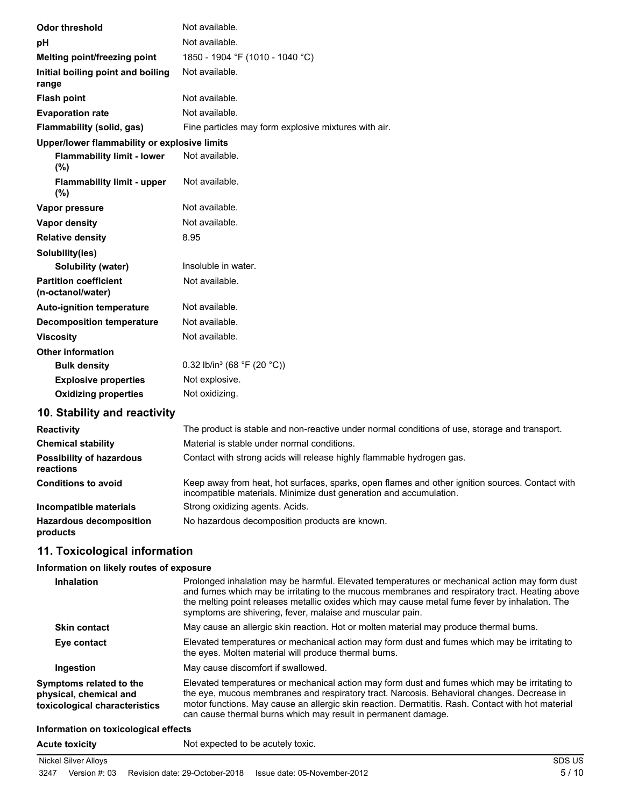| <b>Odor threshold</b>                             | Not available.                                                                                |
|---------------------------------------------------|-----------------------------------------------------------------------------------------------|
| pH                                                | Not available.                                                                                |
| Melting point/freezing point                      | 1850 - 1904 °F (1010 - 1040 °C)                                                               |
| Initial boiling point and boiling<br>range        | Not available.                                                                                |
| <b>Flash point</b>                                | Not available.                                                                                |
| <b>Evaporation rate</b>                           | Not available.                                                                                |
| Flammability (solid, gas)                         | Fine particles may form explosive mixtures with air.                                          |
| Upper/lower flammability or explosive limits      |                                                                                               |
| <b>Flammability limit - lower</b><br>(%)          | Not available.                                                                                |
| <b>Flammability limit - upper</b><br>(%)          | Not available.                                                                                |
| Vapor pressure                                    | Not available.                                                                                |
| Vapor density                                     | Not available.                                                                                |
| <b>Relative density</b>                           | 8.95                                                                                          |
| Solubility(ies)                                   |                                                                                               |
| <b>Solubility (water)</b>                         | Insoluble in water.                                                                           |
| <b>Partition coefficient</b><br>(n-octanol/water) | Not available.                                                                                |
| <b>Auto-ignition temperature</b>                  | Not available.                                                                                |
| <b>Decomposition temperature</b>                  | Not available.                                                                                |
| <b>Viscosity</b>                                  | Not available.                                                                                |
| <b>Other information</b>                          |                                                                                               |
| <b>Bulk density</b>                               | 0.32 lb/in <sup>3</sup> (68 °F (20 °C))                                                       |
| <b>Explosive properties</b>                       | Not explosive.                                                                                |
| <b>Oxidizing properties</b>                       | Not oxidizing.                                                                                |
| 10. Stability and reactivity                      |                                                                                               |
| <b>Reactivity</b>                                 | The product is stable and non-reactive under normal conditions of use, storage and transport. |

| <b>Reactivity</b>                            | The product is stable and non-reactive under normal conditions of use, storage and transport.                                                                         |
|----------------------------------------------|-----------------------------------------------------------------------------------------------------------------------------------------------------------------------|
| <b>Chemical stability</b>                    | Material is stable under normal conditions.                                                                                                                           |
| <b>Possibility of hazardous</b><br>reactions | Contact with strong acids will release highly flammable hydrogen gas.                                                                                                 |
| <b>Conditions to avoid</b>                   | Keep away from heat, hot surfaces, sparks, open flames and other ignition sources. Contact with<br>incompatible materials. Minimize dust generation and accumulation. |
| Incompatible materials                       | Strong oxidizing agents. Acids.                                                                                                                                       |
| <b>Hazardous decomposition</b><br>products   | No hazardous decomposition products are known.                                                                                                                        |

## **11. Toxicological information**

## **Information on likely routes of exposure**

| <b>Inhalation</b>                                                                  | Prolonged inhalation may be harmful. Elevated temperatures or mechanical action may form dust<br>and fumes which may be irritating to the mucous membranes and respiratory tract. Heating above<br>the melting point releases metallic oxides which may cause metal fume fever by inhalation. The<br>symptoms are shivering, fever, malaise and muscular pain.    |
|------------------------------------------------------------------------------------|-------------------------------------------------------------------------------------------------------------------------------------------------------------------------------------------------------------------------------------------------------------------------------------------------------------------------------------------------------------------|
| <b>Skin contact</b>                                                                | May cause an allergic skin reaction. Hot or molten material may produce thermal burns.                                                                                                                                                                                                                                                                            |
| Eye contact                                                                        | Elevated temperatures or mechanical action may form dust and fumes which may be irritating to<br>the eyes. Molten material will produce thermal burns.                                                                                                                                                                                                            |
| Ingestion                                                                          | May cause discomfort if swallowed.                                                                                                                                                                                                                                                                                                                                |
| Symptoms related to the<br>physical, chemical and<br>toxicological characteristics | Elevated temperatures or mechanical action may form dust and fumes which may be irritating to<br>the eye, mucous membranes and respiratory tract. Narcosis. Behavioral changes. Decrease in<br>motor functions. May cause an allergic skin reaction. Dermatitis. Rash. Contact with hot material<br>can cause thermal burns which may result in permanent damage. |
| Information on toxicological offects                                               |                                                                                                                                                                                                                                                                                                                                                                   |

#### **Information on toxicological effects**

**Acute toxicity** Not expected to be acutely toxic.

## Nickel Silver Alloys SDS US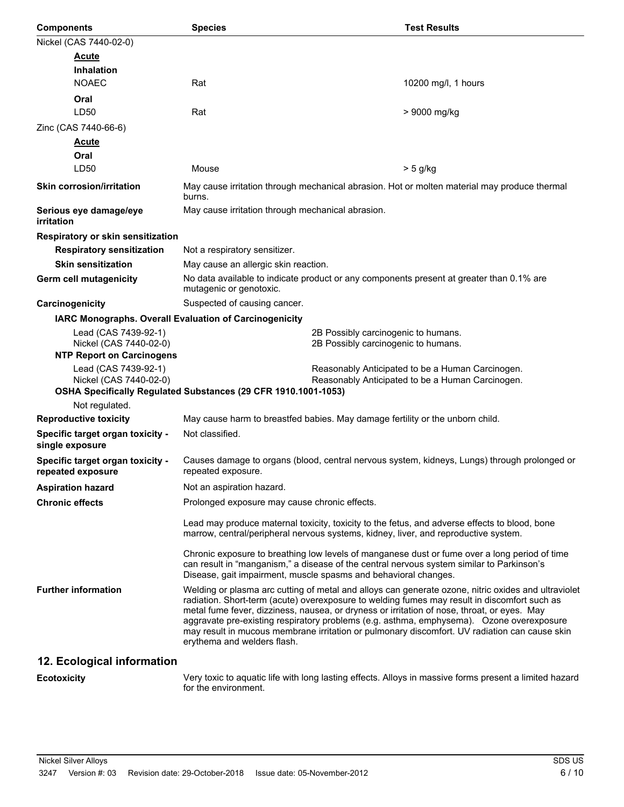| <b>Components</b>                                      | <b>Species</b>                                                                                                                                                                       | <b>Test Results</b>                                                                                                                                                                                                                                                                                                                                                                                                                                                                             |
|--------------------------------------------------------|--------------------------------------------------------------------------------------------------------------------------------------------------------------------------------------|-------------------------------------------------------------------------------------------------------------------------------------------------------------------------------------------------------------------------------------------------------------------------------------------------------------------------------------------------------------------------------------------------------------------------------------------------------------------------------------------------|
| Nickel (CAS 7440-02-0)                                 |                                                                                                                                                                                      |                                                                                                                                                                                                                                                                                                                                                                                                                                                                                                 |
| <b>Acute</b>                                           |                                                                                                                                                                                      |                                                                                                                                                                                                                                                                                                                                                                                                                                                                                                 |
| <b>Inhalation</b>                                      |                                                                                                                                                                                      |                                                                                                                                                                                                                                                                                                                                                                                                                                                                                                 |
| <b>NOAEC</b>                                           | Rat                                                                                                                                                                                  | 10200 mg/l, 1 hours                                                                                                                                                                                                                                                                                                                                                                                                                                                                             |
| Oral                                                   |                                                                                                                                                                                      |                                                                                                                                                                                                                                                                                                                                                                                                                                                                                                 |
| LD50                                                   | Rat                                                                                                                                                                                  | > 9000 mg/kg                                                                                                                                                                                                                                                                                                                                                                                                                                                                                    |
| Zinc (CAS 7440-66-6)                                   |                                                                                                                                                                                      |                                                                                                                                                                                                                                                                                                                                                                                                                                                                                                 |
| <b>Acute</b>                                           |                                                                                                                                                                                      |                                                                                                                                                                                                                                                                                                                                                                                                                                                                                                 |
| Oral                                                   |                                                                                                                                                                                      |                                                                                                                                                                                                                                                                                                                                                                                                                                                                                                 |
| LD50                                                   | Mouse                                                                                                                                                                                | > 5 g/kg                                                                                                                                                                                                                                                                                                                                                                                                                                                                                        |
| <b>Skin corrosion/irritation</b>                       | May cause irritation through mechanical abrasion. Hot or molten material may produce thermal<br>burns.                                                                               |                                                                                                                                                                                                                                                                                                                                                                                                                                                                                                 |
| Serious eye damage/eye<br>irritation                   | May cause irritation through mechanical abrasion.                                                                                                                                    |                                                                                                                                                                                                                                                                                                                                                                                                                                                                                                 |
| Respiratory or skin sensitization                      |                                                                                                                                                                                      |                                                                                                                                                                                                                                                                                                                                                                                                                                                                                                 |
| <b>Respiratory sensitization</b>                       | Not a respiratory sensitizer.                                                                                                                                                        |                                                                                                                                                                                                                                                                                                                                                                                                                                                                                                 |
| <b>Skin sensitization</b>                              | May cause an allergic skin reaction.                                                                                                                                                 |                                                                                                                                                                                                                                                                                                                                                                                                                                                                                                 |
| <b>Germ cell mutagenicity</b>                          | No data available to indicate product or any components present at greater than 0.1% are<br>mutagenic or genotoxic.                                                                  |                                                                                                                                                                                                                                                                                                                                                                                                                                                                                                 |
| Carcinogenicity                                        | Suspected of causing cancer.                                                                                                                                                         |                                                                                                                                                                                                                                                                                                                                                                                                                                                                                                 |
| IARC Monographs. Overall Evaluation of Carcinogenicity |                                                                                                                                                                                      |                                                                                                                                                                                                                                                                                                                                                                                                                                                                                                 |
| Lead (CAS 7439-92-1)<br>Nickel (CAS 7440-02-0)         | 2B Possibly carcinogenic to humans.<br>2B Possibly carcinogenic to humans.                                                                                                           |                                                                                                                                                                                                                                                                                                                                                                                                                                                                                                 |
| <b>NTP Report on Carcinogens</b>                       |                                                                                                                                                                                      |                                                                                                                                                                                                                                                                                                                                                                                                                                                                                                 |
| Lead (CAS 7439-92-1)<br>Nickel (CAS 7440-02-0)         | Reasonably Anticipated to be a Human Carcinogen.<br>Reasonably Anticipated to be a Human Carcinogen.                                                                                 |                                                                                                                                                                                                                                                                                                                                                                                                                                                                                                 |
|                                                        | OSHA Specifically Regulated Substances (29 CFR 1910.1001-1053)                                                                                                                       |                                                                                                                                                                                                                                                                                                                                                                                                                                                                                                 |
| Not regulated.                                         |                                                                                                                                                                                      |                                                                                                                                                                                                                                                                                                                                                                                                                                                                                                 |
| <b>Reproductive toxicity</b>                           | May cause harm to breastfed babies. May damage fertility or the unborn child.                                                                                                        |                                                                                                                                                                                                                                                                                                                                                                                                                                                                                                 |
| Specific target organ toxicity -<br>single exposure    | Not classified.                                                                                                                                                                      |                                                                                                                                                                                                                                                                                                                                                                                                                                                                                                 |
| Specific target organ toxicity -<br>repeated exposure  | Causes damage to organs (blood, central nervous system, kidneys, Lungs) through prolonged or<br>repeated exposure.                                                                   |                                                                                                                                                                                                                                                                                                                                                                                                                                                                                                 |
| <b>Aspiration hazard</b>                               | Not an aspiration hazard.                                                                                                                                                            |                                                                                                                                                                                                                                                                                                                                                                                                                                                                                                 |
| <b>Chronic effects</b>                                 | Prolonged exposure may cause chronic effects.                                                                                                                                        |                                                                                                                                                                                                                                                                                                                                                                                                                                                                                                 |
|                                                        | Lead may produce maternal toxicity, toxicity to the fetus, and adverse effects to blood, bone<br>marrow, central/peripheral nervous systems, kidney, liver, and reproductive system. |                                                                                                                                                                                                                                                                                                                                                                                                                                                                                                 |
|                                                        | Disease, gait impairment, muscle spasms and behavioral changes.                                                                                                                      | Chronic exposure to breathing low levels of manganese dust or fume over a long period of time<br>can result in "manganism," a disease of the central nervous system similar to Parkinson's                                                                                                                                                                                                                                                                                                      |
| <b>Further information</b>                             | erythema and welders flash.                                                                                                                                                          | Welding or plasma arc cutting of metal and alloys can generate ozone, nitric oxides and ultraviolet<br>radiation. Short-term (acute) overexposure to welding fumes may result in discomfort such as<br>metal fume fever, dizziness, nausea, or dryness or irritation of nose, throat, or eyes. May<br>aggravate pre-existing respiratory problems (e.g. asthma, emphysema). Ozone overexposure<br>may result in mucous membrane irritation or pulmonary discomfort. UV radiation can cause skin |
| 12. Ecological information                             |                                                                                                                                                                                      |                                                                                                                                                                                                                                                                                                                                                                                                                                                                                                 |
|                                                        |                                                                                                                                                                                      |                                                                                                                                                                                                                                                                                                                                                                                                                                                                                                 |

Very toxic to aquatic life with long lasting effects. Alloys in massive forms present a limited hazard for the environment. **Ecotoxicity**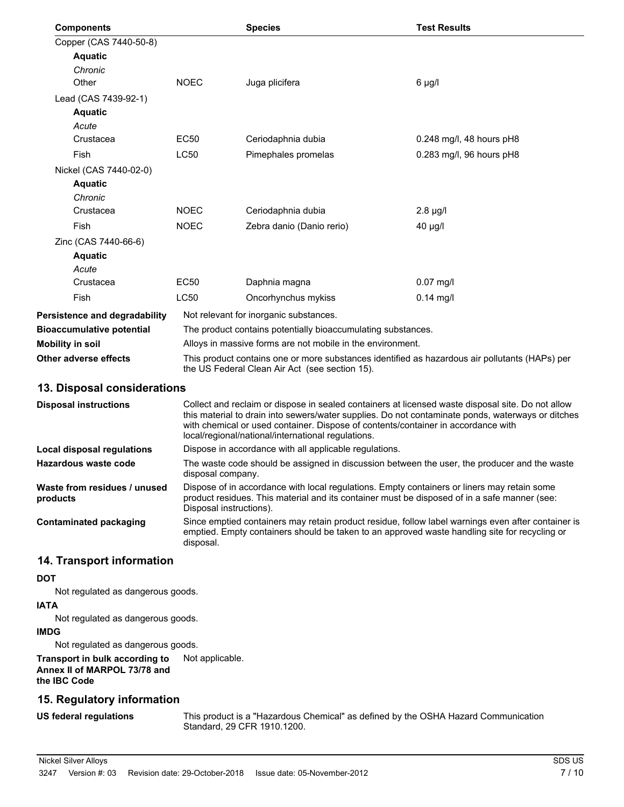|                                  |                                                                                                                                                  | <b>Species</b>                                               | <b>Test Results</b>      |
|----------------------------------|--------------------------------------------------------------------------------------------------------------------------------------------------|--------------------------------------------------------------|--------------------------|
| Copper (CAS 7440-50-8)           |                                                                                                                                                  |                                                              |                          |
| <b>Aquatic</b>                   |                                                                                                                                                  |                                                              |                          |
| Chronic                          |                                                                                                                                                  |                                                              |                          |
| Other                            | <b>NOEC</b>                                                                                                                                      | Juga plicifera                                               | $6 \mu g/l$              |
| Lead (CAS 7439-92-1)             |                                                                                                                                                  |                                                              |                          |
| <b>Aquatic</b>                   |                                                                                                                                                  |                                                              |                          |
| Acute                            |                                                                                                                                                  |                                                              |                          |
| Crustacea                        | <b>EC50</b>                                                                                                                                      | Ceriodaphnia dubia                                           | 0.248 mg/l, 48 hours pH8 |
| Fish                             | <b>LC50</b>                                                                                                                                      | Pimephales promelas                                          | 0.283 mg/l, 96 hours pH8 |
| Nickel (CAS 7440-02-0)           |                                                                                                                                                  |                                                              |                          |
| <b>Aquatic</b>                   |                                                                                                                                                  |                                                              |                          |
| Chronic                          |                                                                                                                                                  |                                                              |                          |
| Crustacea                        | <b>NOEC</b>                                                                                                                                      | Ceriodaphnia dubia                                           | $2.8 \mu g/l$            |
| Fish                             | <b>NOEC</b>                                                                                                                                      | Zebra danio (Danio rerio)                                    | $40 \mu g/l$             |
| Zinc (CAS 7440-66-6)             |                                                                                                                                                  |                                                              |                          |
| <b>Aquatic</b>                   |                                                                                                                                                  |                                                              |                          |
| Acute                            |                                                                                                                                                  |                                                              |                          |
| Crustacea                        | EC50                                                                                                                                             | Daphnia magna                                                | $0.07$ mg/l              |
| Fish                             | <b>LC50</b>                                                                                                                                      | Oncorhynchus mykiss                                          | $0.14$ mg/l              |
| Persistence and degradability    |                                                                                                                                                  | Not relevant for inorganic substances.                       |                          |
| <b>Bioaccumulative potential</b> |                                                                                                                                                  | The product contains potentially bioaccumulating substances. |                          |
| Mobility in soil                 |                                                                                                                                                  | Alloys in massive forms are not mobile in the environment.   |                          |
| Other adverse effects            | This product contains one or more substances identified as hazardous air pollutants (HAPs) per<br>the US Federal Clean Air Act (see section 15). |                                                              |                          |

## **13. Disposal considerations**

| <b>Disposal instructions</b>             | Collect and reclaim or dispose in sealed containers at licensed waste disposal site. Do not allow<br>this material to drain into sewers/water supplies. Do not contaminate ponds, waterways or ditches<br>with chemical or used container. Dispose of contents/container in accordance with<br>local/regional/national/international regulations. |
|------------------------------------------|---------------------------------------------------------------------------------------------------------------------------------------------------------------------------------------------------------------------------------------------------------------------------------------------------------------------------------------------------|
| Local disposal regulations               | Dispose in accordance with all applicable regulations.                                                                                                                                                                                                                                                                                            |
| Hazardous waste code                     | The waste code should be assigned in discussion between the user, the producer and the waste<br>disposal company.                                                                                                                                                                                                                                 |
| Waste from residues / unused<br>products | Dispose of in accordance with local regulations. Empty containers or liners may retain some<br>product residues. This material and its container must be disposed of in a safe manner (see:<br>Disposal instructions).                                                                                                                            |
| <b>Contaminated packaging</b>            | Since emptied containers may retain product residue, follow label warnings even after container is<br>emptied. Empty containers should be taken to an approved waste handling site for recycling or<br>disposal.                                                                                                                                  |

## **14. Transport information**

## **DOT**

Not regulated as dangerous goods.

## **IATA**

Not regulated as dangerous goods.

#### **IMDG**

Not regulated as dangerous goods.

## **Transport in bulk according to** Not applicable. **Annex II of MARPOL 73/78 and the IBC Code**

## **15. Regulatory information**

**US federal regulations**

This product is a "Hazardous Chemical" as defined by the OSHA Hazard Communication Standard, 29 CFR 1910.1200.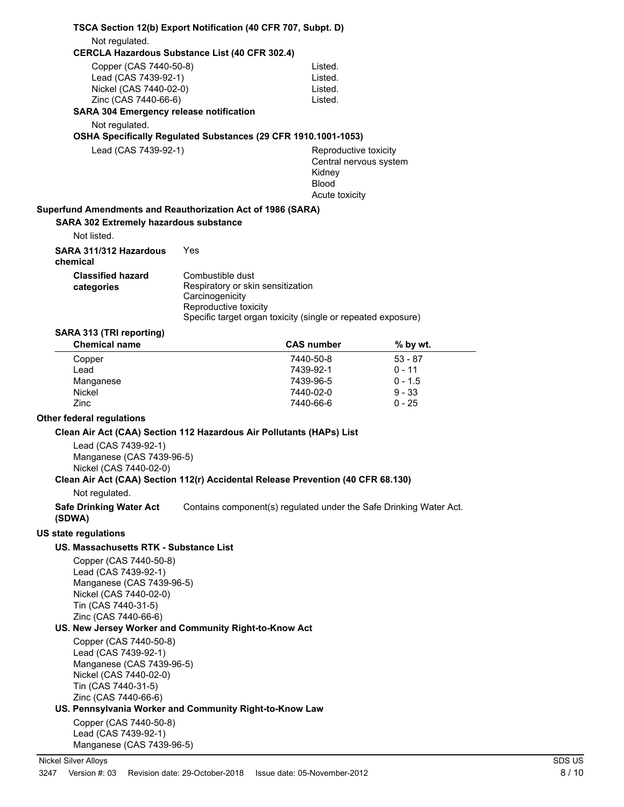| TSCA Section 12(b) Export Notification (40 CFR 707, Subpt. D)                    |                                          |                                                                    |           |        |
|----------------------------------------------------------------------------------|------------------------------------------|--------------------------------------------------------------------|-----------|--------|
| Not regulated.                                                                   |                                          |                                                                    |           |        |
| <b>CERCLA Hazardous Substance List (40 CFR 302.4)</b>                            |                                          |                                                                    |           |        |
| Copper (CAS 7440-50-8)                                                           |                                          | Listed.                                                            |           |        |
| Lead (CAS 7439-92-1)<br>Nickel (CAS 7440-02-0)                                   |                                          | Listed.<br>Listed.                                                 |           |        |
| Zinc (CAS 7440-66-6)                                                             |                                          | Listed.                                                            |           |        |
| <b>SARA 304 Emergency release notification</b>                                   |                                          |                                                                    |           |        |
| Not regulated.                                                                   |                                          |                                                                    |           |        |
| OSHA Specifically Regulated Substances (29 CFR 1910.1001-1053)                   |                                          |                                                                    |           |        |
| Lead (CAS 7439-92-1)                                                             |                                          | Reproductive toxicity                                              |           |        |
|                                                                                  |                                          | Central nervous system                                             |           |        |
|                                                                                  |                                          | Kidney                                                             |           |        |
|                                                                                  |                                          | <b>Blood</b><br>Acute toxicity                                     |           |        |
|                                                                                  |                                          |                                                                    |           |        |
| Superfund Amendments and Reauthorization Act of 1986 (SARA)                      |                                          |                                                                    |           |        |
| <b>SARA 302 Extremely hazardous substance</b><br>Not listed.                     |                                          |                                                                    |           |        |
| SARA 311/312 Hazardous<br>chemical                                               | Yes                                      |                                                                    |           |        |
| <b>Classified hazard</b>                                                         | Combustible dust                         |                                                                    |           |        |
| categories                                                                       | Respiratory or skin sensitization        |                                                                    |           |        |
|                                                                                  | Carcinogenicity<br>Reproductive toxicity |                                                                    |           |        |
|                                                                                  |                                          | Specific target organ toxicity (single or repeated exposure)       |           |        |
| SARA 313 (TRI reporting)                                                         |                                          |                                                                    |           |        |
| <b>Chemical name</b>                                                             |                                          | <b>CAS number</b>                                                  | % by wt.  |        |
| Copper                                                                           |                                          | 7440-50-8                                                          | $53 - 87$ |        |
| Lead                                                                             |                                          | 7439-92-1                                                          | $0 - 11$  |        |
| Manganese                                                                        |                                          | 7439-96-5                                                          | $0 - 1.5$ |        |
| Nickel                                                                           |                                          | 7440-02-0                                                          | $9 - 33$  |        |
| Zinc                                                                             |                                          | 7440-66-6                                                          | $0 - 25$  |        |
| <b>Other federal regulations</b>                                                 |                                          |                                                                    |           |        |
| Clean Air Act (CAA) Section 112 Hazardous Air Pollutants (HAPs) List             |                                          |                                                                    |           |        |
| Lead (CAS 7439-92-1)                                                             |                                          |                                                                    |           |        |
| Manganese (CAS 7439-96-5)<br>Nickel (CAS 7440-02-0)                              |                                          |                                                                    |           |        |
| Clean Air Act (CAA) Section 112(r) Accidental Release Prevention (40 CFR 68.130) |                                          |                                                                    |           |        |
| Not regulated.                                                                   |                                          |                                                                    |           |        |
| <b>Safe Drinking Water Act</b><br>(SDWA)                                         |                                          | Contains component(s) regulated under the Safe Drinking Water Act. |           |        |
| <b>US state regulations</b>                                                      |                                          |                                                                    |           |        |
| US. Massachusetts RTK - Substance List                                           |                                          |                                                                    |           |        |
|                                                                                  |                                          |                                                                    |           |        |
| Copper (CAS 7440-50-8)<br>Lead (CAS 7439-92-1)                                   |                                          |                                                                    |           |        |
| Manganese (CAS 7439-96-5)                                                        |                                          |                                                                    |           |        |
| Nickel (CAS 7440-02-0)                                                           |                                          |                                                                    |           |        |
| Tin (CAS 7440-31-5)                                                              |                                          |                                                                    |           |        |
| Zinc (CAS 7440-66-6)                                                             |                                          |                                                                    |           |        |
| US. New Jersey Worker and Community Right-to-Know Act                            |                                          |                                                                    |           |        |
| Copper (CAS 7440-50-8)<br>Lead (CAS 7439-92-1)                                   |                                          |                                                                    |           |        |
| Manganese (CAS 7439-96-5)                                                        |                                          |                                                                    |           |        |
| Nickel (CAS 7440-02-0)                                                           |                                          |                                                                    |           |        |
| Tin (CAS 7440-31-5)                                                              |                                          |                                                                    |           |        |
| Zinc (CAS 7440-66-6)                                                             |                                          |                                                                    |           |        |
| US. Pennsylvania Worker and Community Right-to-Know Law                          |                                          |                                                                    |           |        |
| Copper (CAS 7440-50-8)<br>Lead (CAS 7439-92-1)                                   |                                          |                                                                    |           |        |
| Manganese (CAS 7439-96-5)                                                        |                                          |                                                                    |           |        |
|                                                                                  |                                          |                                                                    |           | SDS US |
| <b>Nickel Silver Alloys</b><br>Version #: 03<br>3247                             | Revision date: 29-October-2018           | Issue date: 05-November-2012                                       |           | 8/10   |
|                                                                                  |                                          |                                                                    |           |        |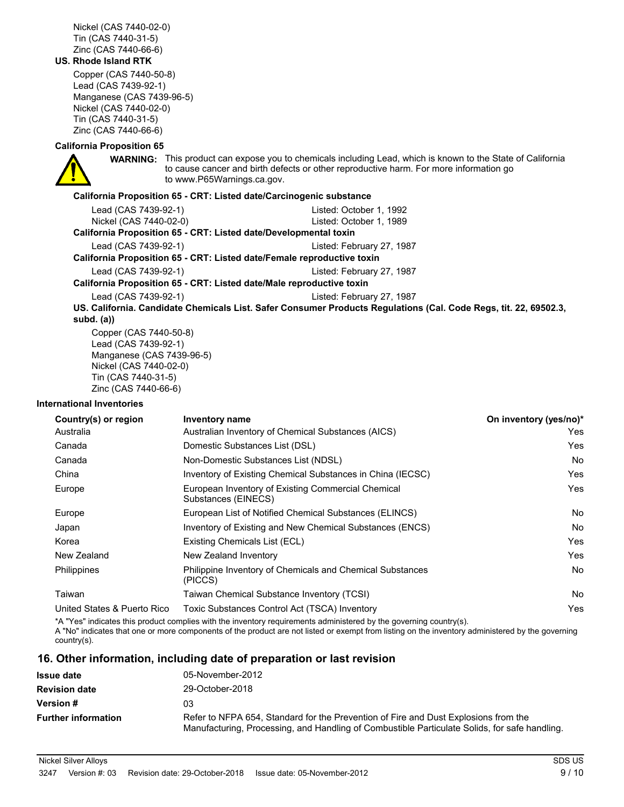Nickel (CAS 7440-02-0) Tin (CAS 7440-31-5) Zinc (CAS 7440-66-6)

#### **US. Rhode Island RTK**

Copper (CAS 7440-50-8) Lead (CAS 7439-92-1) Manganese (CAS 7439-96-5) Nickel (CAS 7440-02-0) Tin (CAS 7440-31-5) Zinc (CAS 7440-66-6)

#### **California Proposition 65**

**WARNING:** This product can expose you to chemicals including Lead, which is known to the State of California to cause cancer and birth defects or other reproductive harm. For more information go to www.P65Warnings.ca.gov.

#### **California Proposition 65 - CRT: Listed date/Carcinogenic substance**

| Lead (CAS 7439-92-1)                                                   | Listed: October 1, 1992                                                                                          |
|------------------------------------------------------------------------|------------------------------------------------------------------------------------------------------------------|
| Nickel (CAS 7440-02-0)                                                 | Listed: October 1, 1989                                                                                          |
| California Proposition 65 - CRT: Listed date/Developmental toxin       |                                                                                                                  |
| Lead (CAS 7439-92-1)                                                   | Listed: February 27, 1987                                                                                        |
| California Proposition 65 - CRT: Listed date/Female reproductive toxin |                                                                                                                  |
| Lead (CAS 7439-92-1)                                                   | Listed: February 27, 1987                                                                                        |
| California Proposition 65 - CRT: Listed date/Male reproductive toxin   |                                                                                                                  |
| Lead (CAS 7439-92-1)                                                   | Listed: February 27, 1987                                                                                        |
| subd. $(a)$                                                            | US. California. Candidate Chemicals List. Safer Consumer Products Regulations (Cal. Code Regs, tit. 22, 69502.3, |
|                                                                        |                                                                                                                  |

Copper (CAS 7440-50-8) Lead (CAS 7439-92-1) Manganese (CAS 7439-96-5) Nickel (CAS 7440-02-0) Tin (CAS 7440-31-5) Zinc (CAS 7440-66-6)

#### **International Inventories**

| Country(s) or region        | <b>Inventory name</b>                                                     | On inventory (yes/no)* |
|-----------------------------|---------------------------------------------------------------------------|------------------------|
| Australia                   | Australian Inventory of Chemical Substances (AICS)                        | Yes                    |
| Canada                      | Domestic Substances List (DSL)                                            | Yes                    |
| Canada                      | Non-Domestic Substances List (NDSL)                                       | No.                    |
| China                       | Inventory of Existing Chemical Substances in China (IECSC)                | Yes                    |
| Europe                      | European Inventory of Existing Commercial Chemical<br>Substances (EINECS) | Yes                    |
| Europe                      | European List of Notified Chemical Substances (ELINCS)                    | <b>No</b>              |
| Japan                       | Inventory of Existing and New Chemical Substances (ENCS)                  | <b>No</b>              |
| Korea                       | Existing Chemicals List (ECL)                                             | Yes                    |
| New Zealand                 | New Zealand Inventory                                                     | Yes                    |
| <b>Philippines</b>          | Philippine Inventory of Chemicals and Chemical Substances<br>(PICCS)      | <b>No</b>              |
| Taiwan                      | Taiwan Chemical Substance Inventory (TCSI)                                | <b>No</b>              |
| United States & Puerto Rico | Toxic Substances Control Act (TSCA) Inventory                             | Yes                    |

\*A "Yes" indicates this product complies with the inventory requirements administered by the governing country(s).

A "No" indicates that one or more components of the product are not listed or exempt from listing on the inventory administered by the governing country(s).

## **16. Other information, including date of preparation or last revision**

| <b>Issue date</b>          | 05-November-2012                                                                                                                                                                     |
|----------------------------|--------------------------------------------------------------------------------------------------------------------------------------------------------------------------------------|
| <b>Revision date</b>       | 29-October-2018                                                                                                                                                                      |
| <b>Version #</b>           | 03                                                                                                                                                                                   |
| <b>Further information</b> | Refer to NFPA 654, Standard for the Prevention of Fire and Dust Explosions from the<br>Manufacturing, Processing, and Handling of Combustible Particulate Solids, for safe handling. |